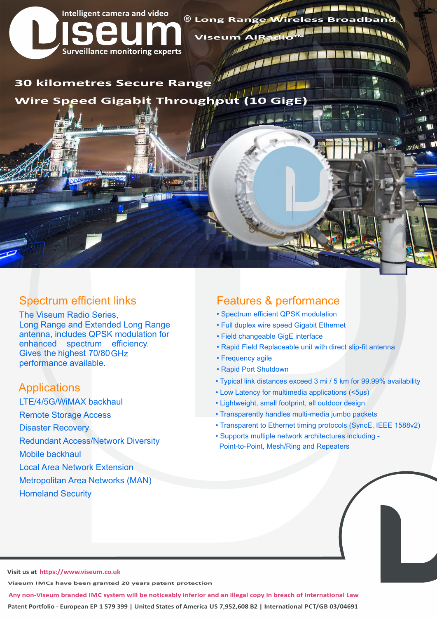

## Spectrum efficient links

The Viseum Radio Series, Long Range and Extended Long Range antenna, includes QPSK modulation for enhanced spectrum efficiency. Gives the highest 70/80 GHz performance available.

## **Applications**

LTE/4/5G/WiMAX backhaul

Remote Storage Access

Disaster Recovery

Redundant Access/Network Diversity

Mobile backhaul

- Local Area Network Extension
- Metropolitan Area Networks (MAN)
- Homeland Security

## Features & performance

- Spectrum efficient QPSK modulation
- Full duplex wire speed Gigabit Ethernet
- Field changeable GigE interface
- Rapid Field Replaceable unit with direct slip-fit antenna
- Frequency agile
- Rapid Port Shutdown
- Typical link distances exceed 3 mi / 5 km for 99.99% availability
- Low Latency for multimedia applications (<5µs)
- Lightweight, small footprint, all outdoor design
- Transparently handles multi-media jumbo packets
- Transparent to Ethernet timing protocols (SyncE, IEEE 1588v2)
- Supports multiple network architectures including Point-to-Point, Mesh/Ring and Repeaters

**Visit us at https://www.viseum.co.uk** 

**Viseum IMCs have been granted 20 years patent protection**

**Patent Portfolio - European EP 1 579 399 | United States of America US 7,952,608 B2 | International PCT/GB 03/04691 Any non-Viseum branded IMC system will be noticeably inferior and an illegal copy in breach of International Law**